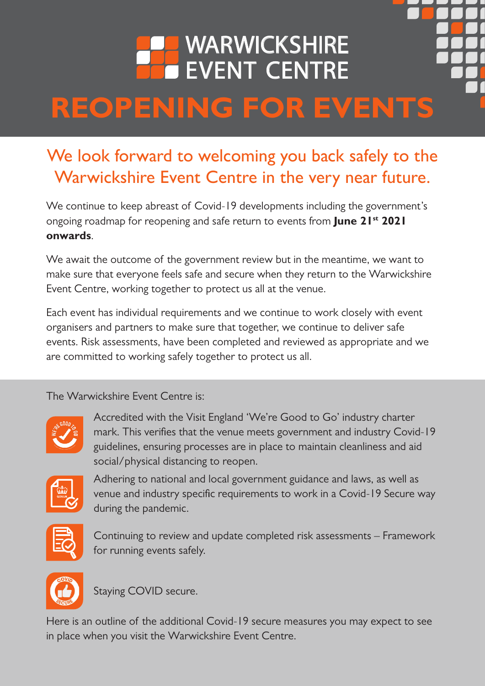### WARWICKSHIRE EVENT CENTRE **REOPENING FOR EVENTS**

### We look forward to welcoming you back safely to the Warwickshire Event Centre in the very near future.

We continue to keep abreast of Covid-19 developments including the government's ongoing roadmap for reopening and safe return to events from **June 21st 2021 onwards**.

We await the outcome of the government review but in the meantime, we want to make sure that everyone feels safe and secure when they return to the Warwickshire Event Centre, working together to protect us all at the venue.

Each event has individual requirements and we continue to work closely with event organisers and partners to make sure that together, we continue to deliver safe events. Risk assessments, have been completed and reviewed as appropriate and we are committed to working safely together to protect us all.

The Warwickshire Event Centre is:



Accredited with the Visit England 'We're Good to Go' industry charter mark. This verifies that the venue meets government and industry Covid-19 guidelines, ensuring processes are in place to maintain cleanliness and aid social/physical distancing to reopen.



Adhering to national and local government guidance and laws, as well as venue and industry specific requirements to work in a Covid-19 Secure way during the pandemic.



Continuing to review and update completed risk assessments – Framework for running events safely.



Staying COVID secure.

Here is an outline of the additional Covid-19 secure measures you may expect to see in place when you visit the Warwickshire Event Centre.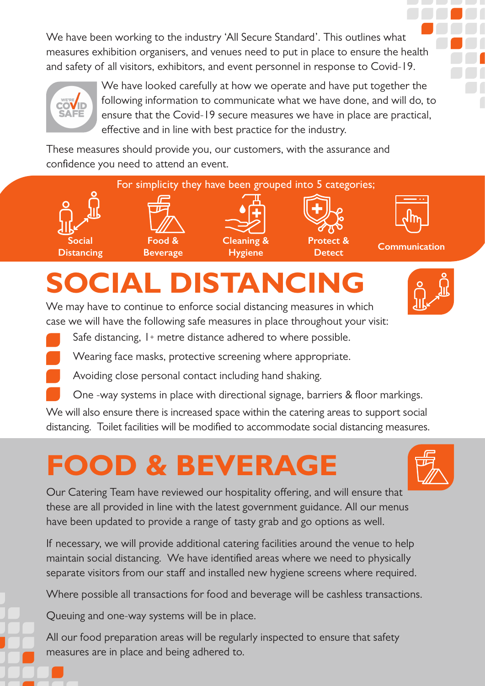We have been working to the industry 'All Secure Standard'. This outlines what measures exhibition organisers, and venues need to put in place to ensure the health and safety of all visitors, exhibitors, and event personnel in response to Covid-19.



We have looked carefully at how we operate and have put together the following information to communicate what we have done, and will do, to ensure that the Covid-19 secure measures we have in place are practical, effective and in line with best practice for the industry.

These measures should provide you, our customers, with the assurance and confidence you need to attend an event.



### **SOCIAL DISTANCING**

We may have to continue to enforce social distancing measures in which case we will have the following safe measures in place throughout your visit:

- Safe distancing, 1+ metre distance adhered to where possible.
- Wearing face masks, protective screening where appropriate.
- Avoiding close personal contact including hand shaking.
- One -way systems in place with directional signage, barriers & floor markings.

We will also ensure there is increased space within the catering areas to support social distancing. Toilet facilities will be modified to accommodate social distancing measures.

### **FOOD & BEVERAGE**

Our Catering Team have reviewed our hospitality offering, and will ensure that these are all provided in line with the latest government guidance. All our menus have been updated to provide a range of tasty grab and go options as well.

If necessary, we will provide additional catering facilities around the venue to help maintain social distancing. We have identified areas where we need to physically separate visitors from our staff and installed new hygiene screens where required.

Where possible all transactions for food and beverage will be cashless transactions.

Queuing and one-way systems will be in place.

All our food preparation areas will be regularly inspected to ensure that safety measures are in place and being adhered to.

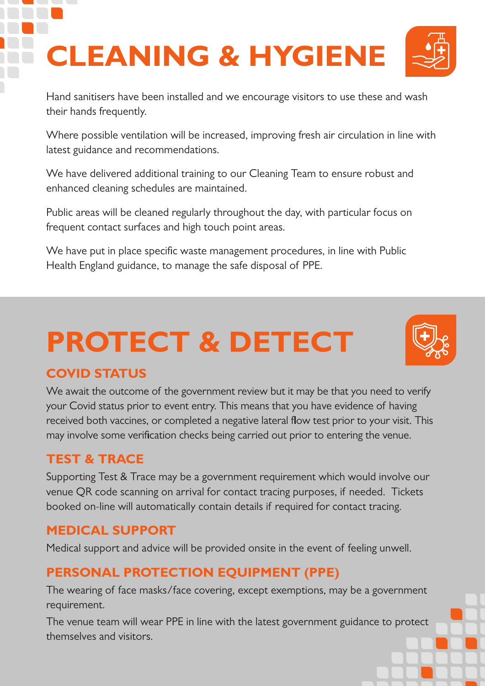# **CLEANING & HYGIENE**



Hand sanitisers have been installed and we encourage visitors to use these and wash their hands frequently.

Where possible ventilation will be increased, improving fresh air circulation in line with latest guidance and recommendations.

We have delivered additional training to our Cleaning Team to ensure robust and enhanced cleaning schedules are maintained.

Public areas will be cleaned regularly throughout the day, with particular focus on frequent contact surfaces and high touch point areas.

We have put in place specific waste management procedures, in line with Public Health England guidance, to manage the safe disposal of PPE.

## **PROTECT & DETECT**

#### **COVID STATUS**

We await the outcome of the government review but it may be that you need to verify your Covid status prior to event entry. This means that you have evidence of having received both vaccines, or completed a negative lateral flow test prior to your visit. This may involve some verification checks being carried out prior to entering the venue.

#### **TEST & TRACE**

Supporting Test & Trace may be a government requirement which would involve our venue QR code scanning on arrival for contact tracing purposes, if needed. Tickets booked on-line will automatically contain details if required for contact tracing.

#### **MEDICAL SUPPORT**

Medical support and advice will be provided onsite in the event of feeling unwell.

#### **PERSONAL PROTECTION EQUIPMENT (PPE)**

The wearing of face masks/face covering, except exemptions, may be a government requirement.

The venue team will wear PPE in line with the latest government guidance to protect themselves and visitors.